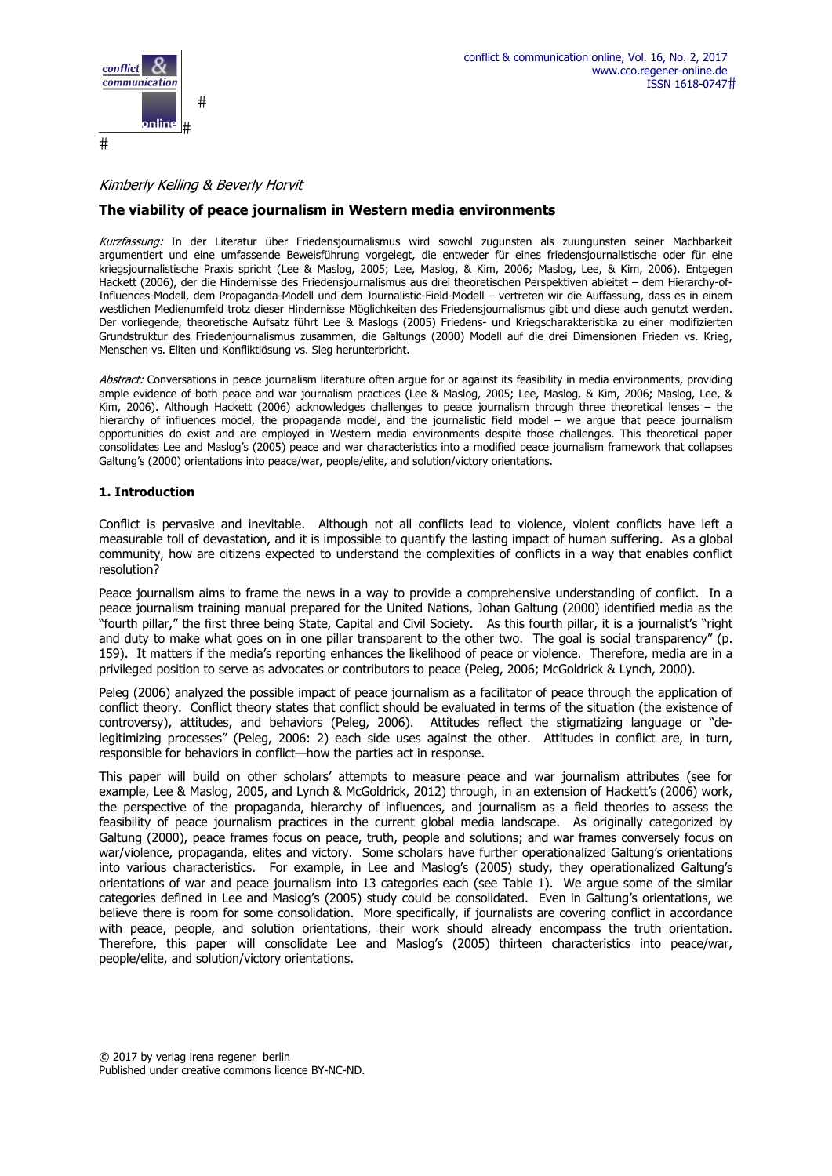

# Kimberly Kelling & Beverly Horvit

# **The viability of peace journalism in Western media environments**

Kurzfassung: In der Literatur über Friedensjournalismus wird sowohl zugunsten als zuungunsten seiner Machbarkeit argumentiert und eine umfassende Beweisführung vorgelegt, die entweder für eines friedensjournalistische oder für eine kriegsjournalistische Praxis spricht (Lee & Maslog, 2005; Lee, Maslog, & Kim, 2006; Maslog, Lee, & Kim, 2006). Entgegen Hackett (2006), der die Hindernisse des Friedensjournalismus aus drei theoretischen Perspektiven ableitet – dem Hierarchy-of-Influences-Modell, dem Propaganda-Modell und dem Journalistic-Field-Modell – vertreten wir die Auffassung, dass es in einem westlichen Medienumfeld trotz dieser Hindernisse Möglichkeiten des Friedensjournalismus gibt und diese auch genutzt werden. Der vorliegende, theoretische Aufsatz führt Lee & Maslogs (2005) Friedens- und Kriegscharakteristika zu einer modifizierten Grundstruktur des Friedenjournalismus zusammen, die Galtungs (2000) Modell auf die drei Dimensionen Frieden vs. Krieg, Menschen vs. Eliten und Konfliktlösung vs. Sieg herunterbricht.

Abstract: Conversations in peace journalism literature often argue for or against its feasibility in media environments, providing ample evidence of both peace and war journalism practices (Lee & Maslog, 2005; Lee, Maslog, & Kim, 2006; Maslog, Lee, & Kim, 2006). Although Hackett (2006) acknowledges challenges to peace journalism through three theoretical lenses – the hierarchy of influences model, the propaganda model, and the journalistic field model – we argue that peace journalism opportunities do exist and are employed in Western media environments despite those challenges. This theoretical paper consolidates Lee and Maslog's (2005) peace and war characteristics into a modified peace journalism framework that collapses Galtung's (2000) orientations into peace/war, people/elite, and solution/victory orientations.

## **1. Introduction**

Conflict is pervasive and inevitable. Although not all conflicts lead to violence, violent conflicts have left a measurable toll of devastation, and it is impossible to quantify the lasting impact of human suffering. As a global community, how are citizens expected to understand the complexities of conflicts in a way that enables conflict resolution?

Peace journalism aims to frame the news in a way to provide a comprehensive understanding of conflict. In a peace journalism training manual prepared for the United Nations, Johan Galtung (2000) identified media as the "fourth pillar," the first three being State, Capital and Civil Society. As this fourth pillar, it is a journalist's "right and duty to make what goes on in one pillar transparent to the other two. The goal is social transparency" (p. 159). It matters if the media's reporting enhances the likelihood of peace or violence. Therefore, media are in a privileged position to serve as advocates or contributors to peace (Peleg, 2006; McGoldrick & Lynch, 2000).

Peleg (2006) analyzed the possible impact of peace journalism as a facilitator of peace through the application of conflict theory. Conflict theory states that conflict should be evaluated in terms of the situation (the existence of controversy), attitudes, and behaviors (Peleg, 2006). Attitudes reflect the stigmatizing language or "delegitimizing processes" (Peleg, 2006: 2) each side uses against the other. Attitudes in conflict are, in turn, responsible for behaviors in conflict—how the parties act in response.

This paper will build on other scholars' attempts to measure peace and war journalism attributes (see for example, Lee & Maslog, 2005, and Lynch & McGoldrick, 2012) through, in an extension of Hackett's (2006) work, the perspective of the propaganda, hierarchy of influences, and journalism as a field theories to assess the feasibility of peace journalism practices in the current global media landscape. As originally categorized by Galtung (2000), peace frames focus on peace, truth, people and solutions; and war frames conversely focus on war/violence, propaganda, elites and victory. Some scholars have further operationalized Galtung's orientations into various characteristics. For example, in Lee and Maslog's (2005) study, they operationalized Galtung's orientations of war and peace journalism into 13 categories each (see Table 1). We argue some of the similar categories defined in Lee and Maslog's (2005) study could be consolidated. Even in Galtung's orientations, we believe there is room for some consolidation. More specifically, if journalists are covering conflict in accordance with peace, people, and solution orientations, their work should already encompass the truth orientation. Therefore, this paper will consolidate Lee and Maslog's (2005) thirteen characteristics into peace/war, people/elite, and solution/victory orientations.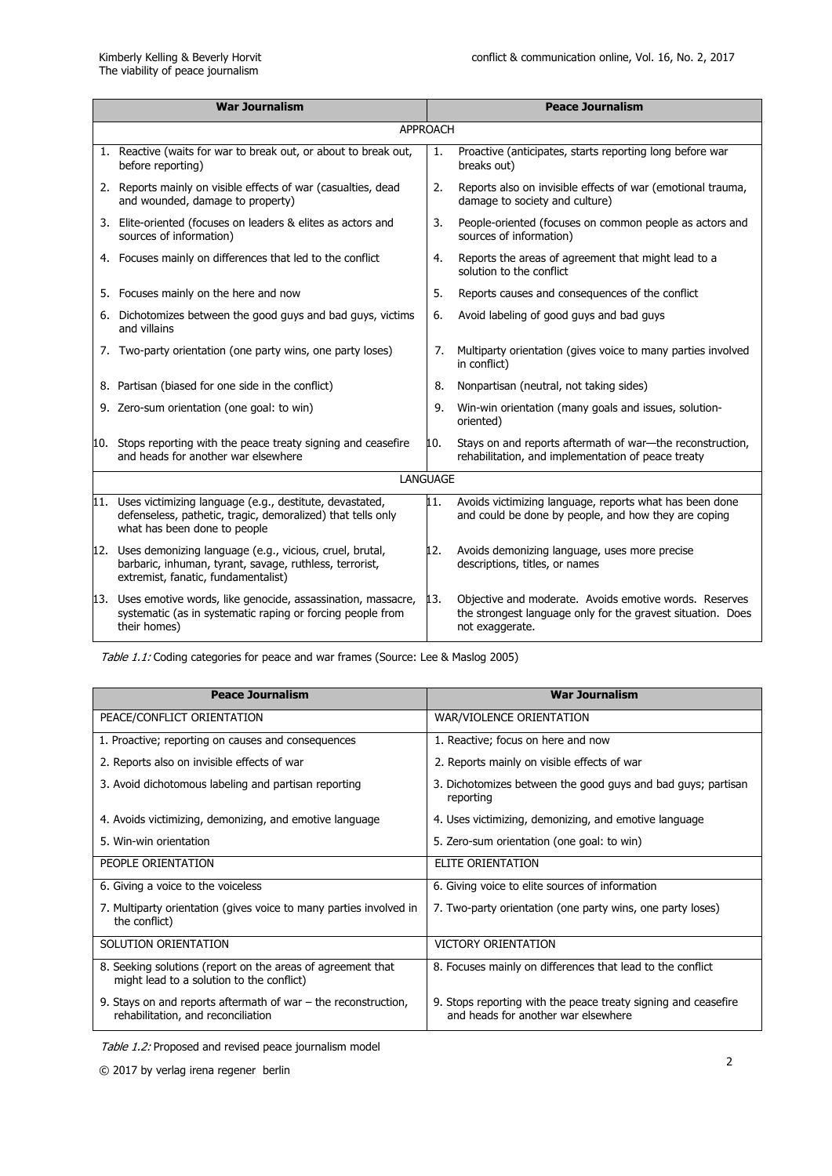| <b>War Journalism</b> |                                                                                                                                                           |     | <b>Peace Journalism</b>                                                                                                                  |  |
|-----------------------|-----------------------------------------------------------------------------------------------------------------------------------------------------------|-----|------------------------------------------------------------------------------------------------------------------------------------------|--|
| <b>APPROACH</b>       |                                                                                                                                                           |     |                                                                                                                                          |  |
|                       | 1. Reactive (waits for war to break out, or about to break out,<br>before reporting)                                                                      | 1.  | Proactive (anticipates, starts reporting long before war<br>breaks out)                                                                  |  |
|                       | 2. Reports mainly on visible effects of war (casualties, dead<br>and wounded, damage to property)                                                         | 2.  | Reports also on invisible effects of war (emotional trauma,<br>damage to society and culture)                                            |  |
|                       | 3. Elite-oriented (focuses on leaders & elites as actors and<br>sources of information)                                                                   | 3.  | People-oriented (focuses on common people as actors and<br>sources of information)                                                       |  |
|                       | 4. Focuses mainly on differences that led to the conflict                                                                                                 | 4.  | Reports the areas of agreement that might lead to a<br>solution to the conflict                                                          |  |
|                       | 5. Focuses mainly on the here and now                                                                                                                     | 5.  | Reports causes and consequences of the conflict                                                                                          |  |
|                       | 6. Dichotomizes between the good guys and bad guys, victims<br>and villains                                                                               | 6.  | Avoid labeling of good guys and bad guys                                                                                                 |  |
|                       | 7. Two-party orientation (one party wins, one party loses)                                                                                                | 7.  | Multiparty orientation (gives voice to many parties involved<br>in conflict)                                                             |  |
|                       | 8. Partisan (biased for one side in the conflict)                                                                                                         | 8.  | Nonpartisan (neutral, not taking sides)                                                                                                  |  |
|                       | 9. Zero-sum orientation (one goal: to win)                                                                                                                | 9.  | Win-win orientation (many goals and issues, solution-<br>oriented)                                                                       |  |
|                       | 10. Stops reporting with the peace treaty signing and ceasefire<br>and heads for another war elsewhere                                                    | 10. | Stays on and reports aftermath of war-the reconstruction,<br>rehabilitation, and implementation of peace treaty                          |  |
| <b>LANGUAGE</b>       |                                                                                                                                                           |     |                                                                                                                                          |  |
| 11.                   | Uses victimizing language (e.g., destitute, devastated,<br>defenseless, pathetic, tragic, demoralized) that tells only<br>what has been done to people    | 11. | Avoids victimizing language, reports what has been done<br>and could be done by people, and how they are coping                          |  |
| 12.                   | Uses demonizing language (e.g., vicious, cruel, brutal,<br>barbaric, inhuman, tyrant, savage, ruthless, terrorist,<br>extremist, fanatic, fundamentalist) | 12. | Avoids demonizing language, uses more precise<br>descriptions, titles, or names                                                          |  |
|                       | 13. Uses emotive words, like genocide, assassination, massacre,<br>systematic (as in systematic raping or forcing people from<br>their homes)             | 13. | Objective and moderate. Avoids emotive words. Reserves<br>the strongest language only for the gravest situation. Does<br>not exaggerate. |  |

Table 1.1: Coding categories for peace and war frames (Source: Lee & Maslog 2005)

| <b>Peace Journalism</b>                                                                                  | <b>War Journalism</b>                                                                                 |
|----------------------------------------------------------------------------------------------------------|-------------------------------------------------------------------------------------------------------|
| PEACE/CONFLICT ORIENTATION                                                                               | WAR/VIOLENCE ORIENTATION                                                                              |
| 1. Proactive; reporting on causes and consequences                                                       | 1. Reactive; focus on here and now                                                                    |
| 2. Reports also on invisible effects of war                                                              | 2. Reports mainly on visible effects of war                                                           |
| 3. Avoid dichotomous labeling and partisan reporting                                                     | 3. Dichotomizes between the good guys and bad guys; partisan<br>reporting                             |
| 4. Avoids victimizing, demonizing, and emotive language                                                  | 4. Uses victimizing, demonizing, and emotive language                                                 |
| 5. Win-win orientation                                                                                   | 5. Zero-sum orientation (one goal: to win)                                                            |
| PEOPLE ORIENTATION                                                                                       | <b>ELITE ORIENTATION</b>                                                                              |
| 6. Giving a voice to the voiceless                                                                       | 6. Giving voice to elite sources of information                                                       |
| 7. Multiparty orientation (gives voice to many parties involved in<br>the conflict)                      | 7. Two-party orientation (one party wins, one party loses)                                            |
| SOLUTION ORIENTATION                                                                                     | VICTORY ORIENTATION                                                                                   |
| 8. Seeking solutions (report on the areas of agreement that<br>might lead to a solution to the conflict) | 8. Focuses mainly on differences that lead to the conflict                                            |
| 9. Stays on and reports aftermath of war $-$ the reconstruction,<br>rehabilitation, and reconciliation   | 9. Stops reporting with the peace treaty signing and ceasefire<br>and heads for another war elsewhere |

Table 1.2: Proposed and revised peace journalism model

© 2017 by verlag irena regener berlin <sup>2</sup>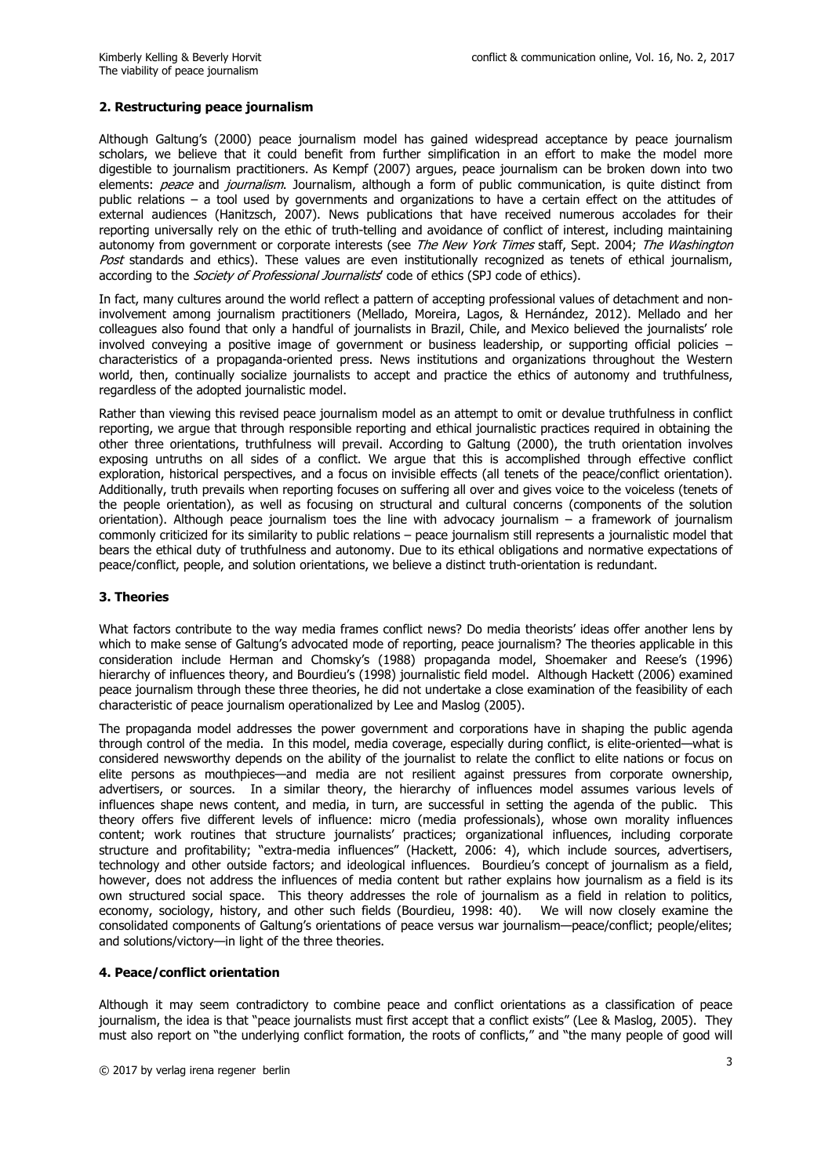#### **2. Restructuring peace journalism**

Although Galtung's (2000) peace journalism model has gained widespread acceptance by peace journalism scholars, we believe that it could benefit from further simplification in an effort to make the model more digestible to journalism practitioners. As Kempf (2007) argues, peace journalism can be broken down into two elements: peace and journalism. Journalism, although a form of public communication, is quite distinct from public relations – a tool used by governments and organizations to have a certain effect on the attitudes of external audiences (Hanitzsch, 2007). News publications that have received numerous accolades for their reporting universally rely on the ethic of truth-telling and avoidance of conflict of interest, including maintaining autonomy from government or corporate interests (see The New York Times staff, Sept. 2004; The Washington Post standards and ethics). These values are even institutionally recognized as tenets of ethical journalism, according to the *Society of Professional Journalists'* code of ethics (SPJ code of ethics).

In fact, many cultures around the world reflect a pattern of accepting professional values of detachment and noninvolvement among journalism practitioners (Mellado, Moreira, Lagos, & Hernández, 2012). Mellado and her colleagues also found that only a handful of journalists in Brazil, Chile, and Mexico believed the journalists' role involved conveying a positive image of government or business leadership, or supporting official policies – characteristics of a propaganda-oriented press. News institutions and organizations throughout the Western world, then, continually socialize journalists to accept and practice the ethics of autonomy and truthfulness, regardless of the adopted journalistic model.

Rather than viewing this revised peace journalism model as an attempt to omit or devalue truthfulness in conflict reporting, we argue that through responsible reporting and ethical journalistic practices required in obtaining the other three orientations, truthfulness will prevail. According to Galtung (2000), the truth orientation involves exposing untruths on all sides of a conflict. We argue that this is accomplished through effective conflict exploration, historical perspectives, and a focus on invisible effects (all tenets of the peace/conflict orientation). Additionally, truth prevails when reporting focuses on suffering all over and gives voice to the voiceless (tenets of the people orientation), as well as focusing on structural and cultural concerns (components of the solution orientation). Although peace journalism toes the line with advocacy journalism – a framework of journalism commonly criticized for its similarity to public relations – peace journalism still represents a journalistic model that bears the ethical duty of truthfulness and autonomy. Due to its ethical obligations and normative expectations of peace/conflict, people, and solution orientations, we believe a distinct truth-orientation is redundant.

## **3. Theories**

What factors contribute to the way media frames conflict news? Do media theorists' ideas offer another lens by which to make sense of Galtung's advocated mode of reporting, peace journalism? The theories applicable in this consideration include Herman and Chomsky's (1988) propaganda model, Shoemaker and Reese's (1996) hierarchy of influences theory, and Bourdieu's (1998) journalistic field model. Although Hackett (2006) examined peace journalism through these three theories, he did not undertake a close examination of the feasibility of each characteristic of peace journalism operationalized by Lee and Maslog (2005).

The propaganda model addresses the power government and corporations have in shaping the public agenda through control of the media. In this model, media coverage, especially during conflict, is elite-oriented—what is considered newsworthy depends on the ability of the journalist to relate the conflict to elite nations or focus on elite persons as mouthpieces—and media are not resilient against pressures from corporate ownership, advertisers, or sources. In a similar theory, the hierarchy of influences model assumes various levels of influences shape news content, and media, in turn, are successful in setting the agenda of the public. This theory offers five different levels of influence: micro (media professionals), whose own morality influences content; work routines that structure journalists' practices; organizational influences, including corporate structure and profitability; "extra-media influences" (Hackett, 2006: 4), which include sources, advertisers, technology and other outside factors; and ideological influences. Bourdieu's concept of journalism as a field, however, does not address the influences of media content but rather explains how journalism as a field is its own structured social space. This theory addresses the role of journalism as a field in relation to politics, economy, sociology, history, and other such fields (Bourdieu, 1998: 40). We will now closely examine the consolidated components of Galtung's orientations of peace versus war journalism—peace/conflict; people/elites; and solutions/victory—in light of the three theories.

#### **4. Peace/conflict orientation**

Although it may seem contradictory to combine peace and conflict orientations as a classification of peace journalism, the idea is that "peace journalists must first accept that a conflict exists" (Lee & Maslog, 2005). They must also report on "the underlying conflict formation, the roots of conflicts," and "the many people of good will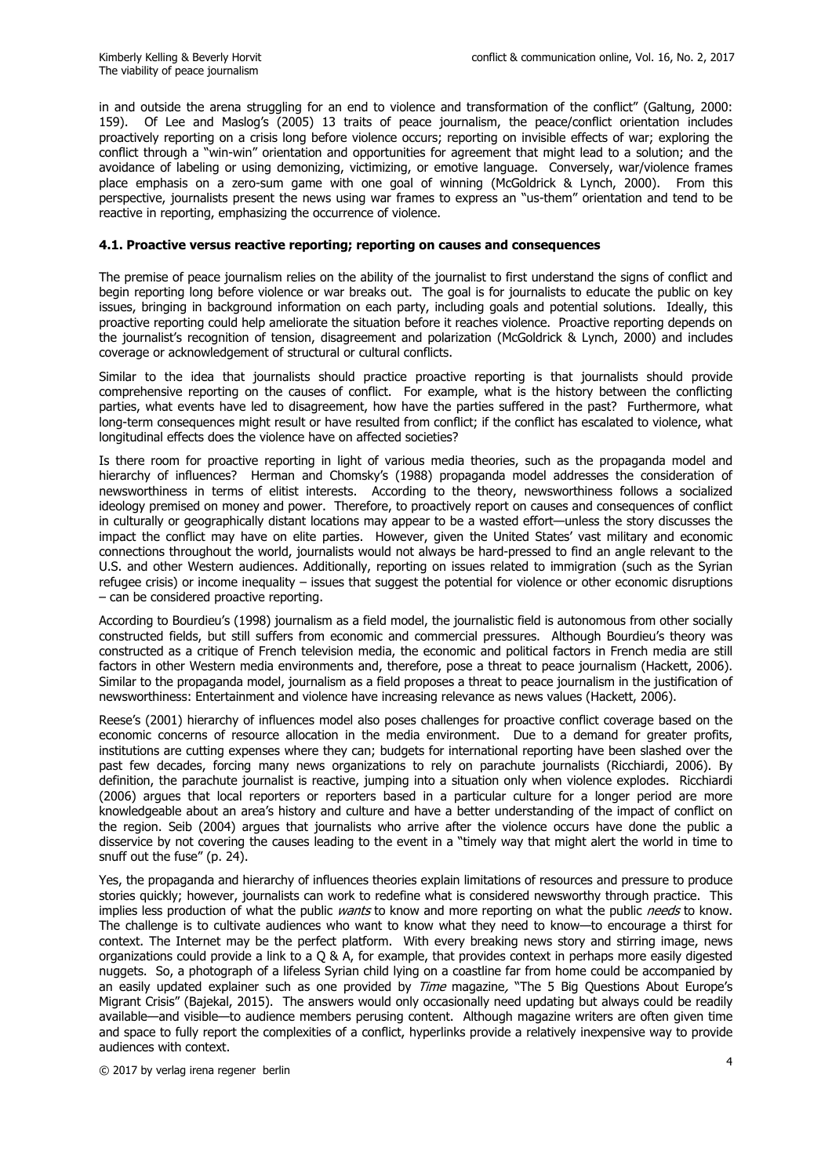in and outside the arena struggling for an end to violence and transformation of the conflict" (Galtung, 2000: 159). Of Lee and Maslog's (2005) 13 traits of peace journalism, the peace/conflict orientation includes proactively reporting on a crisis long before violence occurs; reporting on invisible effects of war; exploring the conflict through a "win-win" orientation and opportunities for agreement that might lead to a solution; and the avoidance of labeling or using demonizing, victimizing, or emotive language. Conversely, war/violence frames place emphasis on a zero-sum game with one goal of winning (McGoldrick & Lynch, 2000). From this perspective, journalists present the news using war frames to express an "us-them" orientation and tend to be reactive in reporting, emphasizing the occurrence of violence.

#### **4.1. Proactive versus reactive reporting; reporting on causes and consequences**

The premise of peace journalism relies on the ability of the journalist to first understand the signs of conflict and begin reporting long before violence or war breaks out. The goal is for journalists to educate the public on key issues, bringing in background information on each party, including goals and potential solutions. Ideally, this proactive reporting could help ameliorate the situation before it reaches violence. Proactive reporting depends on the journalist's recognition of tension, disagreement and polarization (McGoldrick & Lynch, 2000) and includes coverage or acknowledgement of structural or cultural conflicts.

Similar to the idea that journalists should practice proactive reporting is that journalists should provide comprehensive reporting on the causes of conflict. For example, what is the history between the conflicting parties, what events have led to disagreement, how have the parties suffered in the past? Furthermore, what long-term consequences might result or have resulted from conflict; if the conflict has escalated to violence, what longitudinal effects does the violence have on affected societies?

Is there room for proactive reporting in light of various media theories, such as the propaganda model and hierarchy of influences? Herman and Chomsky's (1988) propaganda model addresses the consideration of newsworthiness in terms of elitist interests. According to the theory, newsworthiness follows a socialized ideology premised on money and power. Therefore, to proactively report on causes and consequences of conflict in culturally or geographically distant locations may appear to be a wasted effort—unless the story discusses the impact the conflict may have on elite parties. However, given the United States' vast military and economic connections throughout the world, journalists would not always be hard-pressed to find an angle relevant to the U.S. and other Western audiences. Additionally, reporting on issues related to immigration (such as the Syrian refugee crisis) or income inequality – issues that suggest the potential for violence or other economic disruptions – can be considered proactive reporting.

According to Bourdieu's (1998) journalism as a field model, the journalistic field is autonomous from other socially constructed fields, but still suffers from economic and commercial pressures. Although Bourdieu's theory was constructed as a critique of French television media, the economic and political factors in French media are still factors in other Western media environments and, therefore, pose a threat to peace journalism (Hackett, 2006). Similar to the propaganda model, journalism as a field proposes a threat to peace journalism in the justification of newsworthiness: Entertainment and violence have increasing relevance as news values (Hackett, 2006).

Reese's (2001) hierarchy of influences model also poses challenges for proactive conflict coverage based on the economic concerns of resource allocation in the media environment. Due to a demand for greater profits, institutions are cutting expenses where they can; budgets for international reporting have been slashed over the past few decades, forcing many news organizations to rely on parachute journalists (Ricchiardi, 2006). By definition, the parachute journalist is reactive, jumping into a situation only when violence explodes. Ricchiardi (2006) argues that local reporters or reporters based in a particular culture for a longer period are more knowledgeable about an area's history and culture and have a better understanding of the impact of conflict on the region. Seib (2004) argues that journalists who arrive after the violence occurs have done the public a disservice by not covering the causes leading to the event in a "timely way that might alert the world in time to snuff out the fuse" (p. 24).

Yes, the propaganda and hierarchy of influences theories explain limitations of resources and pressure to produce stories quickly; however, journalists can work to redefine what is considered newsworthy through practice. This implies less production of what the public *wants* to know and more reporting on what the public *needs* to know. The challenge is to cultivate audiences who want to know what they need to know—to encourage a thirst for context. The Internet may be the perfect platform. With every breaking news story and stirring image, news organizations could provide a link to a Q & A, for example, that provides context in perhaps more easily digested nuggets. So, a photograph of a lifeless Syrian child lying on a coastline far from home could be accompanied by an easily updated explainer such as one provided by Time magazine, "The 5 Big Questions About Europe's Migrant Crisis" (Bajekal, 2015). The answers would only occasionally need updating but always could be readily available—and visible—to audience members perusing content. Although magazine writers are often given time and space to fully report the complexities of a conflict, hyperlinks provide a relatively inexpensive way to provide audiences with context.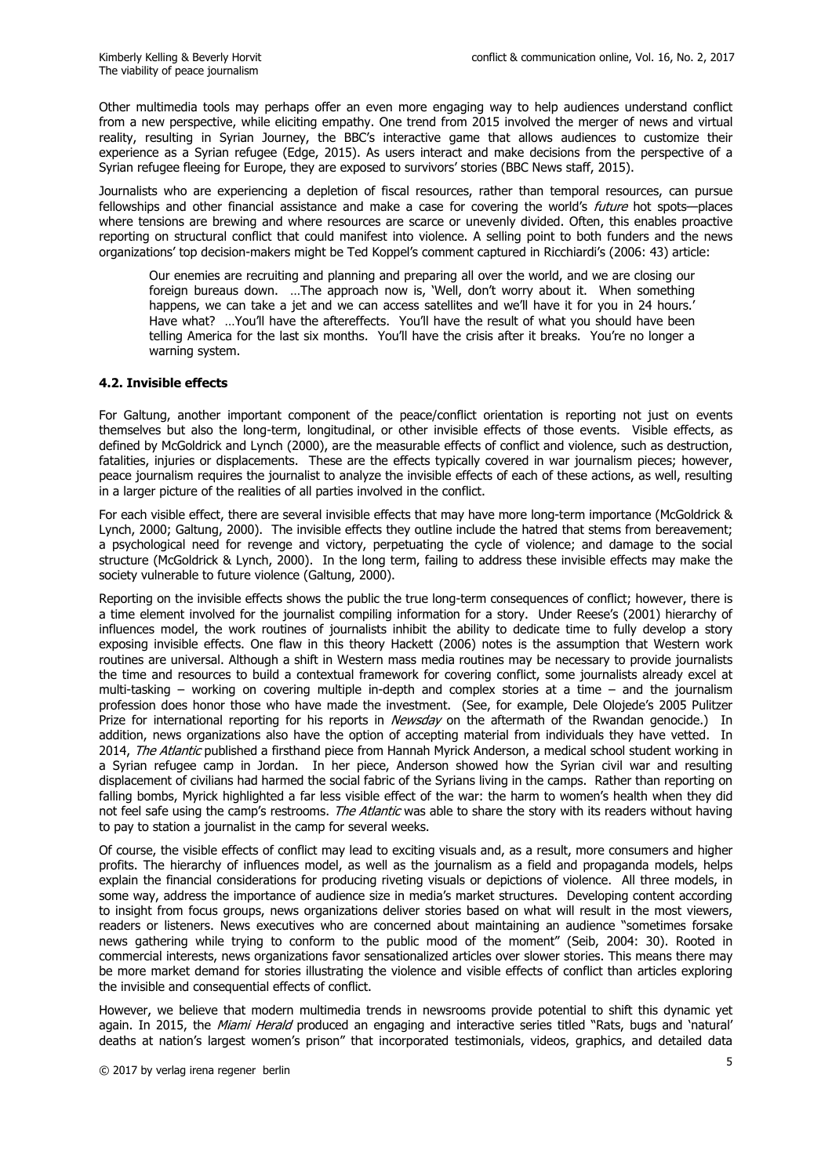Other multimedia tools may perhaps offer an even more engaging way to help audiences understand conflict from a new perspective, while eliciting empathy. One trend from 2015 involved the merger of news and virtual reality, resulting in Syrian Journey, the BBC's interactive game that allows audiences to customize their experience as a Syrian refugee (Edge, 2015). As users interact and make decisions from the perspective of a Syrian refugee fleeing for Europe, they are exposed to survivors' stories (BBC News staff, 2015).

Journalists who are experiencing a depletion of fiscal resources, rather than temporal resources, can pursue fellowships and other financial assistance and make a case for covering the world's future hot spots-places where tensions are brewing and where resources are scarce or unevenly divided. Often, this enables proactive reporting on structural conflict that could manifest into violence. A selling point to both funders and the news organizations' top decision-makers might be Ted Koppel's comment captured in Ricchiardi's (2006: 43) article:

 Our enemies are recruiting and planning and preparing all over the world, and we are closing our foreign bureaus down. …The approach now is, 'Well, don't worry about it. When something happens, we can take a jet and we can access satellites and we'll have it for you in 24 hours.' Have what? …You'll have the aftereffects. You'll have the result of what you should have been telling America for the last six months. You'll have the crisis after it breaks. You're no longer a warning system.

## **4.2. Invisible effects**

For Galtung, another important component of the peace/conflict orientation is reporting not just on events themselves but also the long-term, longitudinal, or other invisible effects of those events. Visible effects, as defined by McGoldrick and Lynch (2000), are the measurable effects of conflict and violence, such as destruction, fatalities, injuries or displacements. These are the effects typically covered in war journalism pieces; however, peace journalism requires the journalist to analyze the invisible effects of each of these actions, as well, resulting in a larger picture of the realities of all parties involved in the conflict.

For each visible effect, there are several invisible effects that may have more long-term importance (McGoldrick & Lynch, 2000; Galtung, 2000). The invisible effects they outline include the hatred that stems from bereavement; a psychological need for revenge and victory, perpetuating the cycle of violence; and damage to the social structure (McGoldrick & Lynch, 2000). In the long term, failing to address these invisible effects may make the society vulnerable to future violence (Galtung, 2000).

Reporting on the invisible effects shows the public the true long-term consequences of conflict; however, there is a time element involved for the journalist compiling information for a story. Under Reese's (2001) hierarchy of influences model, the work routines of journalists inhibit the ability to dedicate time to fully develop a story exposing invisible effects. One flaw in this theory Hackett (2006) notes is the assumption that Western work routines are universal. Although a shift in Western mass media routines may be necessary to provide journalists the time and resources to build a contextual framework for covering conflict, some journalists already excel at multi-tasking – working on covering multiple in-depth and complex stories at a time – and the journalism profession does honor those who have made the investment. (See, for example, Dele Olojede's 2005 Pulitzer Prize for international reporting for his reports in Newsday on the aftermath of the Rwandan genocide.) In addition, news organizations also have the option of accepting material from individuals they have vetted. In 2014, The Atlantic published a firsthand piece from Hannah Myrick Anderson, a medical school student working in a Syrian refugee camp in Jordan. In her piece, Anderson showed how the Syrian civil war and resulting displacement of civilians had harmed the social fabric of the Syrians living in the camps. Rather than reporting on falling bombs, Myrick highlighted a far less visible effect of the war: the harm to women's health when they did not feel safe using the camp's restrooms. The Atlantic was able to share the story with its readers without having to pay to station a journalist in the camp for several weeks.

Of course, the visible effects of conflict may lead to exciting visuals and, as a result, more consumers and higher profits. The hierarchy of influences model, as well as the journalism as a field and propaganda models, helps explain the financial considerations for producing riveting visuals or depictions of violence. All three models, in some way, address the importance of audience size in media's market structures. Developing content according to insight from focus groups, news organizations deliver stories based on what will result in the most viewers, readers or listeners. News executives who are concerned about maintaining an audience "sometimes forsake news gathering while trying to conform to the public mood of the moment" (Seib, 2004: 30). Rooted in commercial interests, news organizations favor sensationalized articles over slower stories. This means there may be more market demand for stories illustrating the violence and visible effects of conflict than articles exploring the invisible and consequential effects of conflict.

However, we believe that modern multimedia trends in newsrooms provide potential to shift this dynamic yet again. In 2015, the Miami Herald produced an engaging and interactive series titled "Rats, bugs and 'natural' deaths at nation's largest women's prison" that incorporated testimonials, videos, graphics, and detailed data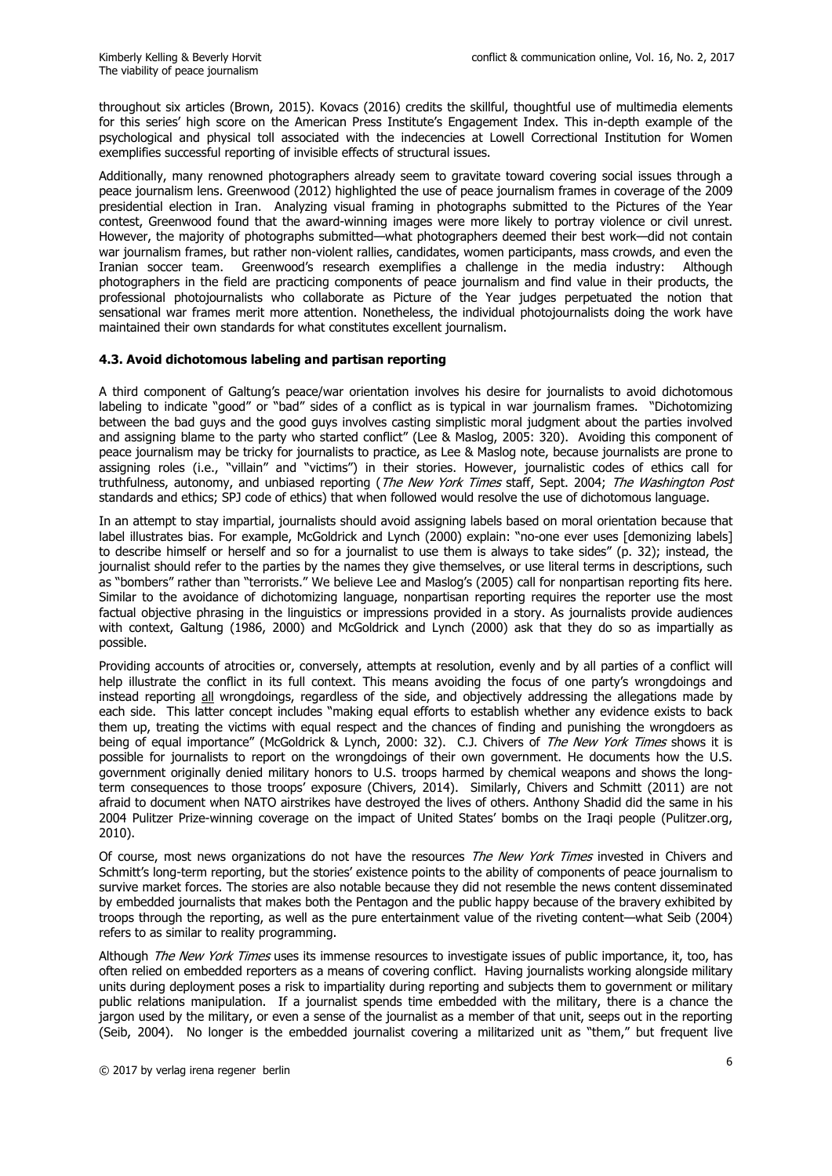throughout six articles (Brown, 2015). Kovacs (2016) credits the skillful, thoughtful use of multimedia elements for this series' high score on the American Press Institute's Engagement Index. This in-depth example of the psychological and physical toll associated with the indecencies at Lowell Correctional Institution for Women exemplifies successful reporting of invisible effects of structural issues.

Additionally, many renowned photographers already seem to gravitate toward covering social issues through a peace journalism lens. Greenwood (2012) highlighted the use of peace journalism frames in coverage of the 2009 presidential election in Iran. Analyzing visual framing in photographs submitted to the Pictures of the Year contest, Greenwood found that the award-winning images were more likely to portray violence or civil unrest. However, the majority of photographs submitted—what photographers deemed their best work—did not contain war journalism frames, but rather non-violent rallies, candidates, women participants, mass crowds, and even the Iranian soccer team. Greenwood's research exemplifies a challenge in the media industry: Although photographers in the field are practicing components of peace journalism and find value in their products, the professional photojournalists who collaborate as Picture of the Year judges perpetuated the notion that sensational war frames merit more attention. Nonetheless, the individual photojournalists doing the work have maintained their own standards for what constitutes excellent journalism.

## **4.3. Avoid dichotomous labeling and partisan reporting**

A third component of Galtung's peace/war orientation involves his desire for journalists to avoid dichotomous labeling to indicate "good" or "bad" sides of a conflict as is typical in war journalism frames. "Dichotomizing between the bad guys and the good guys involves casting simplistic moral judgment about the parties involved and assigning blame to the party who started conflict" (Lee & Maslog, 2005: 320). Avoiding this component of peace journalism may be tricky for journalists to practice, as Lee & Maslog note, because journalists are prone to assigning roles (i.e., "villain" and "victims") in their stories. However, journalistic codes of ethics call for truthfulness, autonomy, and unbiased reporting (*The New York Times* staff, Sept. 2004; The Washington Post standards and ethics; SPJ code of ethics) that when followed would resolve the use of dichotomous language.

In an attempt to stay impartial, journalists should avoid assigning labels based on moral orientation because that label illustrates bias. For example, McGoldrick and Lynch (2000) explain: "no-one ever uses [demonizing labels] to describe himself or herself and so for a journalist to use them is always to take sides" (p. 32); instead, the journalist should refer to the parties by the names they give themselves, or use literal terms in descriptions, such as "bombers" rather than "terrorists." We believe Lee and Maslog's (2005) call for nonpartisan reporting fits here. Similar to the avoidance of dichotomizing language, nonpartisan reporting requires the reporter use the most factual objective phrasing in the linguistics or impressions provided in a story. As journalists provide audiences with context, Galtung (1986, 2000) and McGoldrick and Lynch (2000) ask that they do so as impartially as possible.

Providing accounts of atrocities or, conversely, attempts at resolution, evenly and by all parties of a conflict will help illustrate the conflict in its full context. This means avoiding the focus of one party's wrongdoings and instead reporting all wrongdoings, regardless of the side, and objectively addressing the allegations made by each side. This latter concept includes "making equal efforts to establish whether any evidence exists to back them up, treating the victims with equal respect and the chances of finding and punishing the wrongdoers as being of equal importance" (McGoldrick & Lynch, 2000: 32). C.J. Chivers of The New York Times shows it is possible for journalists to report on the wrongdoings of their own government. He documents how the U.S. government originally denied military honors to U.S. troops harmed by chemical weapons and shows the longterm consequences to those troops' exposure (Chivers, 2014). Similarly, Chivers and Schmitt (2011) are not afraid to document when NATO airstrikes have destroyed the lives of others. Anthony Shadid did the same in his 2004 Pulitzer Prize-winning coverage on the impact of United States' bombs on the Iraqi people (Pulitzer.org, 2010).

Of course, most news organizations do not have the resources The New York Times invested in Chivers and Schmitt's long-term reporting, but the stories' existence points to the ability of components of peace journalism to survive market forces. The stories are also notable because they did not resemble the news content disseminated by embedded journalists that makes both the Pentagon and the public happy because of the bravery exhibited by troops through the reporting, as well as the pure entertainment value of the riveting content—what Seib (2004) refers to as similar to reality programming.

Although *The New York Times* uses its immense resources to investigate issues of public importance, it, too, has often relied on embedded reporters as a means of covering conflict. Having journalists working alongside military units during deployment poses a risk to impartiality during reporting and subjects them to government or military public relations manipulation. If a journalist spends time embedded with the military, there is a chance the jargon used by the military, or even a sense of the journalist as a member of that unit, seeps out in the reporting (Seib, 2004). No longer is the embedded journalist covering a militarized unit as "them," but frequent live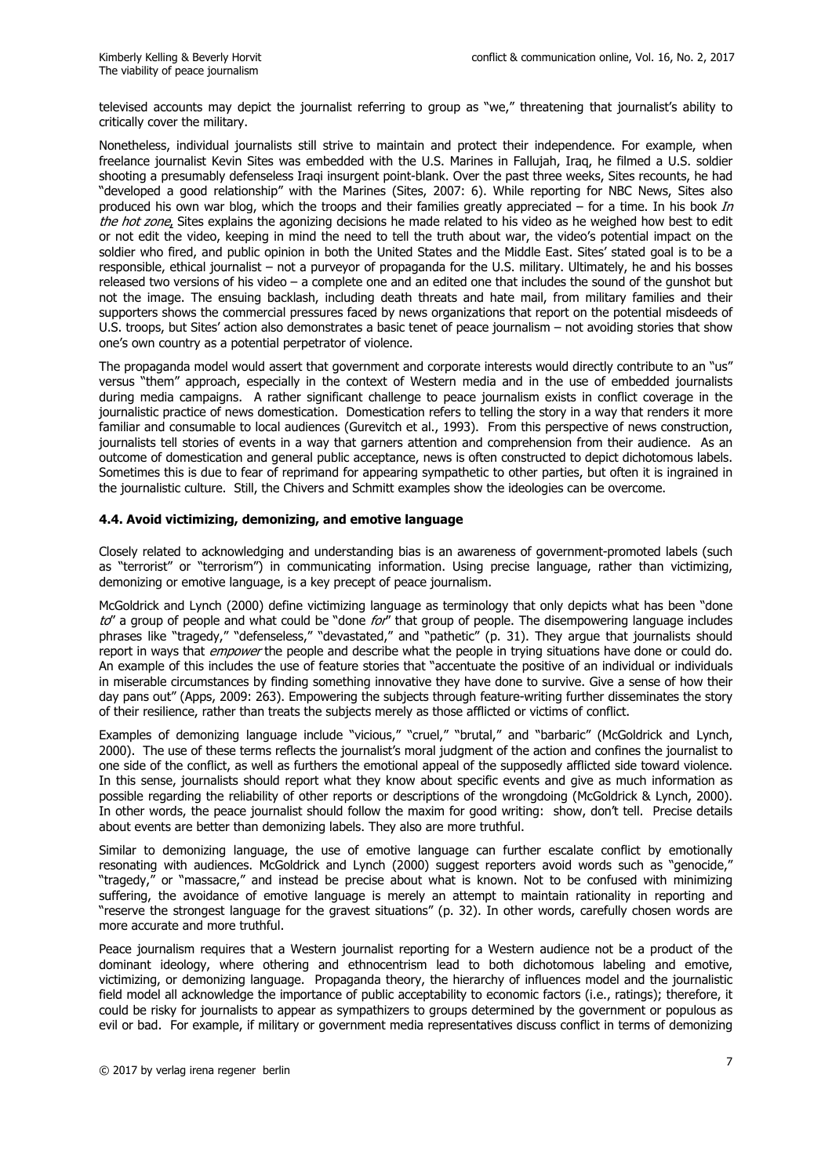televised accounts may depict the journalist referring to group as "we," threatening that journalist's ability to critically cover the military.

Nonetheless, individual journalists still strive to maintain and protect their independence. For example, when freelance journalist Kevin Sites was embedded with the U.S. Marines in Fallujah, Iraq, he filmed a U.S. soldier shooting a presumably defenseless Iraqi insurgent point-blank. Over the past three weeks, Sites recounts, he had "developed a good relationship" with the Marines (Sites, 2007: 6). While reporting for NBC News, Sites also produced his own war blog, which the troops and their families greatly appreciated – for a time. In his book  $In$ the hot zone, Sites explains the agonizing decisions he made related to his video as he weighed how best to edit or not edit the video, keeping in mind the need to tell the truth about war, the video's potential impact on the soldier who fired, and public opinion in both the United States and the Middle East. Sites' stated goal is to be a responsible, ethical journalist – not a purveyor of propaganda for the U.S. military. Ultimately, he and his bosses released two versions of his video – a complete one and an edited one that includes the sound of the gunshot but not the image. The ensuing backlash, including death threats and hate mail, from military families and their supporters shows the commercial pressures faced by news organizations that report on the potential misdeeds of U.S. troops, but Sites' action also demonstrates a basic tenet of peace journalism – not avoiding stories that show one's own country as a potential perpetrator of violence.

The propaganda model would assert that government and corporate interests would directly contribute to an "us" versus "them" approach, especially in the context of Western media and in the use of embedded journalists during media campaigns. A rather significant challenge to peace journalism exists in conflict coverage in the journalistic practice of news domestication. Domestication refers to telling the story in a way that renders it more familiar and consumable to local audiences (Gurevitch et al., 1993). From this perspective of news construction, journalists tell stories of events in a way that garners attention and comprehension from their audience. As an outcome of domestication and general public acceptance, news is often constructed to depict dichotomous labels. Sometimes this is due to fear of reprimand for appearing sympathetic to other parties, but often it is ingrained in the journalistic culture. Still, the Chivers and Schmitt examples show the ideologies can be overcome.

#### **4.4. Avoid victimizing, demonizing, and emotive language**

Closely related to acknowledging and understanding bias is an awareness of government-promoted labels (such as "terrorist" or "terrorism") in communicating information. Using precise language, rather than victimizing, demonizing or emotive language, is a key precept of peace journalism.

McGoldrick and Lynch (2000) define victimizing language as terminology that only depicts what has been "done  $to''$  a group of people and what could be "done  $for''$  that group of people. The disempowering language includes phrases like "tragedy," "defenseless," "devastated," and "pathetic" (p. 31). They argue that journalists should report in ways that *empower* the people and describe what the people in trying situations have done or could do. An example of this includes the use of feature stories that "accentuate the positive of an individual or individuals in miserable circumstances by finding something innovative they have done to survive. Give a sense of how their day pans out" (Apps, 2009: 263). Empowering the subjects through feature-writing further disseminates the story of their resilience, rather than treats the subjects merely as those afflicted or victims of conflict.

Examples of demonizing language include "vicious," "cruel," "brutal," and "barbaric" (McGoldrick and Lynch, 2000). The use of these terms reflects the journalist's moral judgment of the action and confines the journalist to one side of the conflict, as well as furthers the emotional appeal of the supposedly afflicted side toward violence. In this sense, journalists should report what they know about specific events and give as much information as possible regarding the reliability of other reports or descriptions of the wrongdoing (McGoldrick & Lynch, 2000). In other words, the peace journalist should follow the maxim for good writing: show, don't tell. Precise details about events are better than demonizing labels. They also are more truthful.

Similar to demonizing language, the use of emotive language can further escalate conflict by emotionally resonating with audiences. McGoldrick and Lynch (2000) suggest reporters avoid words such as "genocide," "tragedy," or "massacre," and instead be precise about what is known. Not to be confused with minimizing suffering, the avoidance of emotive language is merely an attempt to maintain rationality in reporting and "reserve the strongest language for the gravest situations" (p. 32). In other words, carefully chosen words are more accurate and more truthful.

Peace journalism requires that a Western journalist reporting for a Western audience not be a product of the dominant ideology, where othering and ethnocentrism lead to both dichotomous labeling and emotive, victimizing, or demonizing language. Propaganda theory, the hierarchy of influences model and the journalistic field model all acknowledge the importance of public acceptability to economic factors (i.e., ratings); therefore, it could be risky for journalists to appear as sympathizers to groups determined by the government or populous as evil or bad. For example, if military or government media representatives discuss conflict in terms of demonizing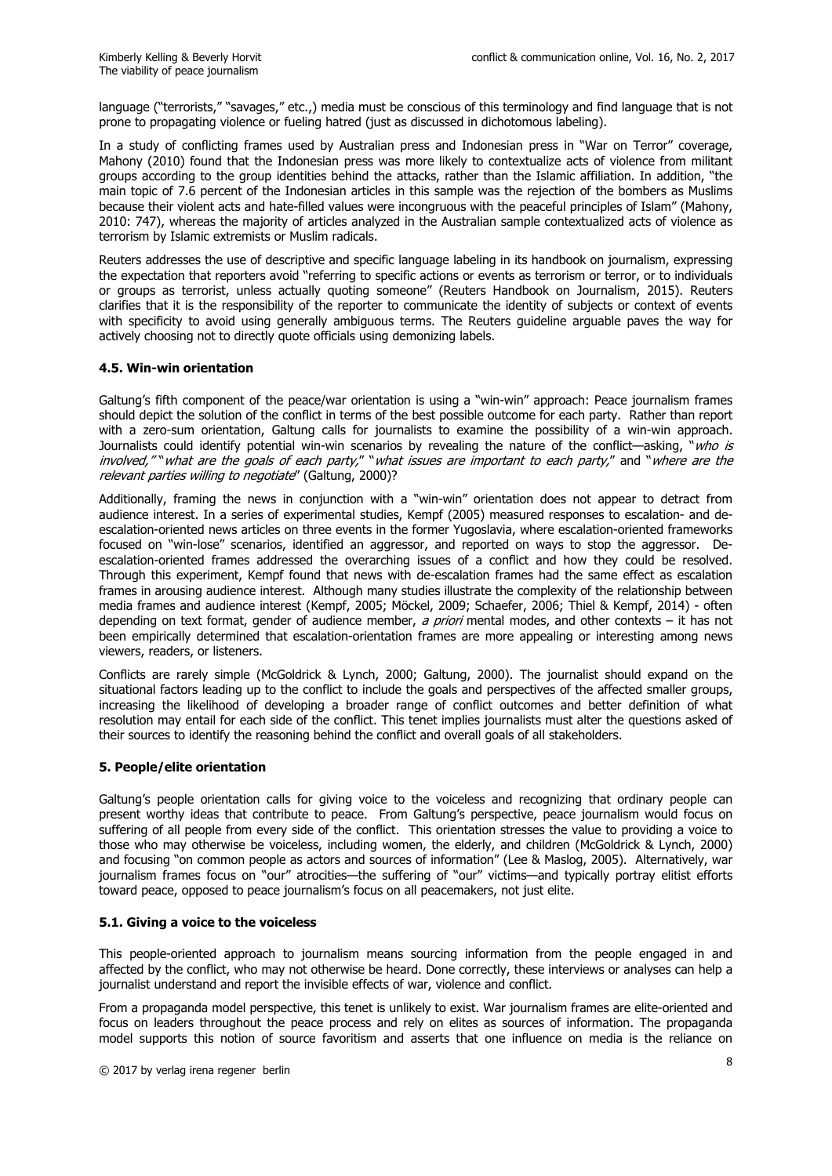language ("terrorists," "savages," etc.,) media must be conscious of this terminology and find language that is not prone to propagating violence or fueling hatred (just as discussed in dichotomous labeling).

In a study of conflicting frames used by Australian press and Indonesian press in "War on Terror" coverage, Mahony (2010) found that the Indonesian press was more likely to contextualize acts of violence from militant groups according to the group identities behind the attacks, rather than the Islamic affiliation. In addition, "the main topic of 7.6 percent of the Indonesian articles in this sample was the rejection of the bombers as Muslims because their violent acts and hate-filled values were incongruous with the peaceful principles of Islam" (Mahony, 2010: 747), whereas the majority of articles analyzed in the Australian sample contextualized acts of violence as terrorism by Islamic extremists or Muslim radicals.

Reuters addresses the use of descriptive and specific language labeling in its handbook on journalism, expressing the expectation that reporters avoid "referring to specific actions or events as terrorism or terror, or to individuals or groups as terrorist, unless actually quoting someone" (Reuters Handbook on Journalism, 2015). Reuters clarifies that it is the responsibility of the reporter to communicate the identity of subjects or context of events with specificity to avoid using generally ambiguous terms. The Reuters guideline arguable paves the way for actively choosing not to directly quote officials using demonizing labels.

## **4.5. Win-win orientation**

Galtung's fifth component of the peace/war orientation is using a "win-win" approach: Peace journalism frames should depict the solution of the conflict in terms of the best possible outcome for each party. Rather than report with a zero-sum orientation, Galtung calls for journalists to examine the possibility of a win-win approach. Journalists could identify potential win-win scenarios by revealing the nature of the conflict—asking, "who is involved," "what are the goals of each party," "what issues are important to each party," and "where are the relevant parties willing to negotiate" (Galtung, 2000)?

Additionally, framing the news in conjunction with a "win-win" orientation does not appear to detract from audience interest. In a series of experimental studies, Kempf (2005) measured responses to escalation- and deescalation-oriented news articles on three events in the former Yugoslavia, where escalation-oriented frameworks focused on "win-lose" scenarios, identified an aggressor, and reported on ways to stop the aggressor. Deescalation-oriented frames addressed the overarching issues of a conflict and how they could be resolved. Through this experiment, Kempf found that news with de-escalation frames had the same effect as escalation frames in arousing audience interest. Although many studies illustrate the complexity of the relationship between media frames and audience interest (Kempf, 2005; Möckel, 2009; Schaefer, 2006; Thiel & Kempf, 2014) - often depending on text format, gender of audience member, a priori mental modes, and other contexts – it has not been empirically determined that escalation-orientation frames are more appealing or interesting among news viewers, readers, or listeners.

Conflicts are rarely simple (McGoldrick & Lynch, 2000; Galtung, 2000). The journalist should expand on the situational factors leading up to the conflict to include the goals and perspectives of the affected smaller groups, increasing the likelihood of developing a broader range of conflict outcomes and better definition of what resolution may entail for each side of the conflict. This tenet implies journalists must alter the questions asked of their sources to identify the reasoning behind the conflict and overall goals of all stakeholders.

## **5. People/elite orientation**

Galtung's people orientation calls for giving voice to the voiceless and recognizing that ordinary people can present worthy ideas that contribute to peace. From Galtung's perspective, peace journalism would focus on suffering of all people from every side of the conflict. This orientation stresses the value to providing a voice to those who may otherwise be voiceless, including women, the elderly, and children (McGoldrick & Lynch, 2000) and focusing "on common people as actors and sources of information" (Lee & Maslog, 2005). Alternatively, war journalism frames focus on "our" atrocities—the suffering of "our" victims—and typically portray elitist efforts toward peace, opposed to peace journalism's focus on all peacemakers, not just elite.

## **5.1. Giving a voice to the voiceless**

This people-oriented approach to journalism means sourcing information from the people engaged in and affected by the conflict, who may not otherwise be heard. Done correctly, these interviews or analyses can help a journalist understand and report the invisible effects of war, violence and conflict.

From a propaganda model perspective, this tenet is unlikely to exist. War journalism frames are elite-oriented and focus on leaders throughout the peace process and rely on elites as sources of information. The propaganda model supports this notion of source favoritism and asserts that one influence on media is the reliance on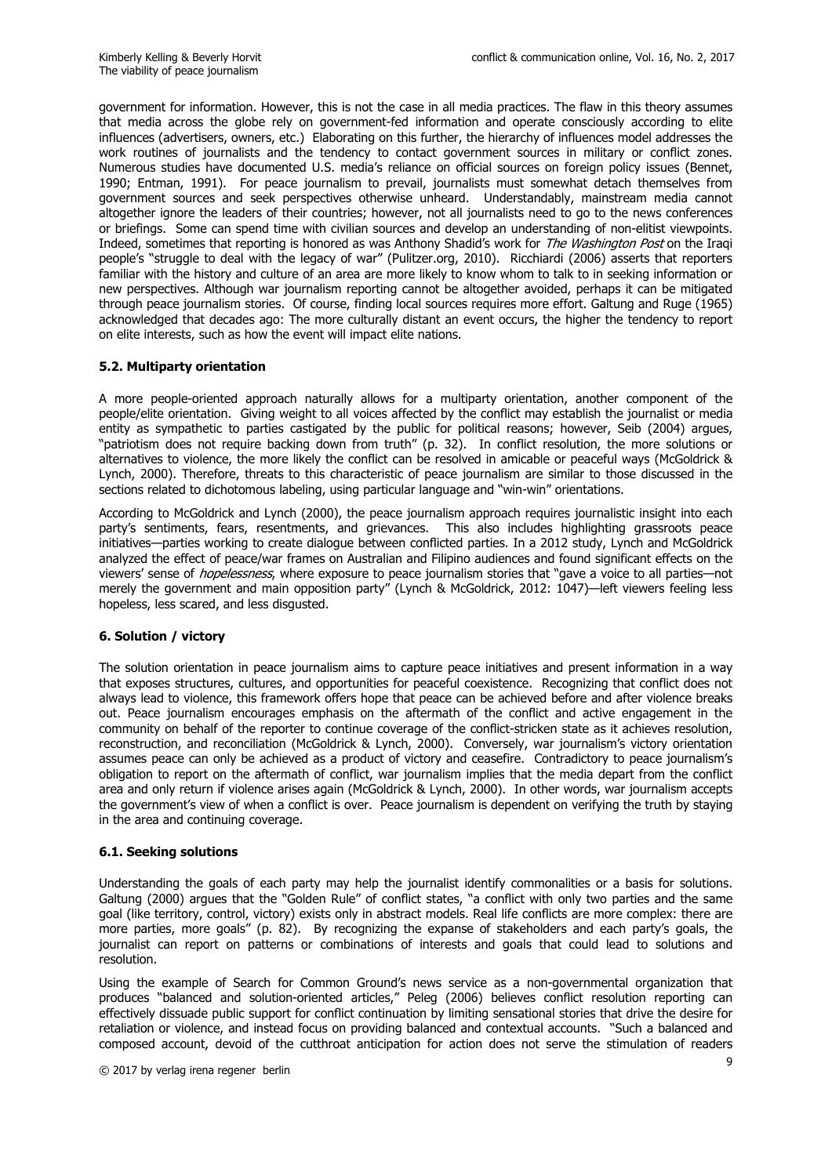government for information. However, this is not the case in all media practices. The flaw in this theory assumes that media across the globe rely on government-fed information and operate consciously according to elite influences (advertisers, owners, etc.) Elaborating on this further, the hierarchy of influences model addresses the work routines of journalists and the tendency to contact government sources in military or conflict zones. Numerous studies have documented U.S. media's reliance on official sources on foreign policy issues (Bennet, 1990; Entman, 1991). For peace journalism to prevail, journalists must somewhat detach themselves from government sources and seek perspectives otherwise unheard. Understandably, mainstream media cannot altogether ignore the leaders of their countries; however, not all journalists need to go to the news conferences or briefings. Some can spend time with civilian sources and develop an understanding of non-elitist viewpoints. Indeed, sometimes that reporting is honored as was Anthony Shadid's work for *The Washington Post* on the Iraqi people's "struggle to deal with the legacy of war" (Pulitzer.org, 2010). Ricchiardi (2006) asserts that reporters familiar with the history and culture of an area are more likely to know whom to talk to in seeking information or new perspectives. Although war journalism reporting cannot be altogether avoided, perhaps it can be mitigated through peace journalism stories. Of course, finding local sources requires more effort. Galtung and Ruge (1965) acknowledged that decades ago: The more culturally distant an event occurs, the higher the tendency to report on elite interests, such as how the event will impact elite nations.

## **5.2. Multiparty orientation**

A more people-oriented approach naturally allows for a multiparty orientation, another component of the people/elite orientation. Giving weight to all voices affected by the conflict may establish the journalist or media entity as sympathetic to parties castigated by the public for political reasons; however, Seib (2004) argues, "patriotism does not require backing down from truth" (p. 32). In conflict resolution, the more solutions or alternatives to violence, the more likely the conflict can be resolved in amicable or peaceful ways (McGoldrick & Lynch, 2000). Therefore, threats to this characteristic of peace journalism are similar to those discussed in the sections related to dichotomous labeling, using particular language and "win-win" orientations.

According to McGoldrick and Lynch (2000), the peace journalism approach requires journalistic insight into each party's sentiments, fears, resentments, and grievances. This also includes highlighting grassroots peace initiatives—parties working to create dialogue between conflicted parties. In a 2012 study, Lynch and McGoldrick analyzed the effect of peace/war frames on Australian and Filipino audiences and found significant effects on the viewers' sense of hopelessness, where exposure to peace journalism stories that "gave a voice to all parties—not merely the government and main opposition party" (Lynch & McGoldrick, 2012: 1047)—left viewers feeling less hopeless, less scared, and less disgusted.

## **6. Solution / victory**

The solution orientation in peace journalism aims to capture peace initiatives and present information in a way that exposes structures, cultures, and opportunities for peaceful coexistence. Recognizing that conflict does not always lead to violence, this framework offers hope that peace can be achieved before and after violence breaks out. Peace journalism encourages emphasis on the aftermath of the conflict and active engagement in the community on behalf of the reporter to continue coverage of the conflict-stricken state as it achieves resolution, reconstruction, and reconciliation (McGoldrick & Lynch, 2000). Conversely, war journalism's victory orientation assumes peace can only be achieved as a product of victory and ceasefire. Contradictory to peace journalism's obligation to report on the aftermath of conflict, war journalism implies that the media depart from the conflict area and only return if violence arises again (McGoldrick & Lynch, 2000). In other words, war journalism accepts the government's view of when a conflict is over. Peace journalism is dependent on verifying the truth by staying in the area and continuing coverage.

## **6.1. Seeking solutions**

Understanding the goals of each party may help the journalist identify commonalities or a basis for solutions. Galtung (2000) argues that the "Golden Rule" of conflict states, "a conflict with only two parties and the same goal (like territory, control, victory) exists only in abstract models. Real life conflicts are more complex: there are more parties, more goals" (p. 82). By recognizing the expanse of stakeholders and each party's goals, the journalist can report on patterns or combinations of interests and goals that could lead to solutions and resolution.

Using the example of Search for Common Ground's news service as a non-governmental organization that produces "balanced and solution-oriented articles," Peleg (2006) believes conflict resolution reporting can effectively dissuade public support for conflict continuation by limiting sensational stories that drive the desire for retaliation or violence, and instead focus on providing balanced and contextual accounts. "Such a balanced and composed account, devoid of the cutthroat anticipation for action does not serve the stimulation of readers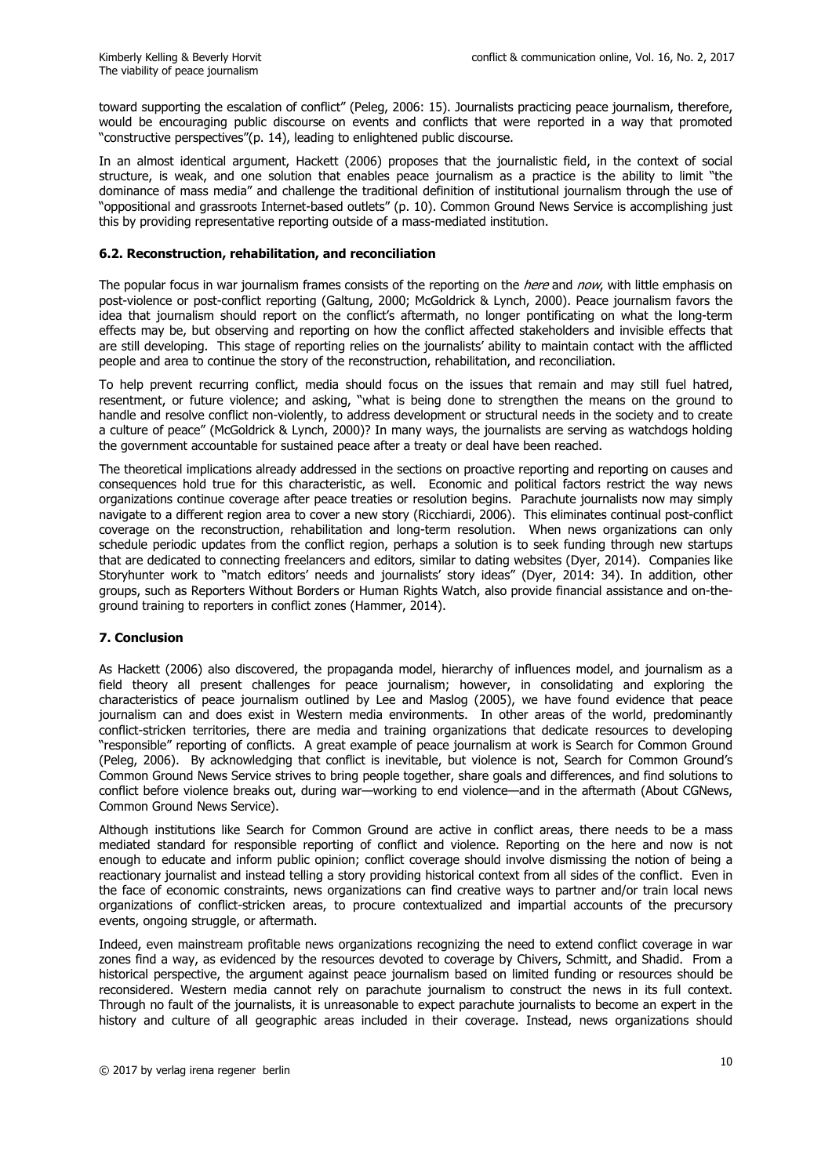toward supporting the escalation of conflict" (Peleg, 2006: 15). Journalists practicing peace journalism, therefore, would be encouraging public discourse on events and conflicts that were reported in a way that promoted "constructive perspectives"(p. 14), leading to enlightened public discourse.

In an almost identical argument, Hackett (2006) proposes that the journalistic field, in the context of social structure, is weak, and one solution that enables peace journalism as a practice is the ability to limit "the dominance of mass media" and challenge the traditional definition of institutional journalism through the use of "oppositional and grassroots Internet-based outlets" (p. 10). Common Ground News Service is accomplishing just this by providing representative reporting outside of a mass-mediated institution.

#### **6.2. Reconstruction, rehabilitation, and reconciliation**

The popular focus in war journalism frames consists of the reporting on the *here* and now, with little emphasis on post-violence or post-conflict reporting (Galtung, 2000; McGoldrick & Lynch, 2000). Peace journalism favors the idea that journalism should report on the conflict's aftermath, no longer pontificating on what the long-term effects may be, but observing and reporting on how the conflict affected stakeholders and invisible effects that are still developing. This stage of reporting relies on the journalists' ability to maintain contact with the afflicted people and area to continue the story of the reconstruction, rehabilitation, and reconciliation.

To help prevent recurring conflict, media should focus on the issues that remain and may still fuel hatred, resentment, or future violence; and asking, "what is being done to strengthen the means on the ground to handle and resolve conflict non-violently, to address development or structural needs in the society and to create a culture of peace" (McGoldrick & Lynch, 2000)? In many ways, the journalists are serving as watchdogs holding the government accountable for sustained peace after a treaty or deal have been reached.

The theoretical implications already addressed in the sections on proactive reporting and reporting on causes and consequences hold true for this characteristic, as well. Economic and political factors restrict the way news organizations continue coverage after peace treaties or resolution begins. Parachute journalists now may simply navigate to a different region area to cover a new story (Ricchiardi, 2006). This eliminates continual post-conflict coverage on the reconstruction, rehabilitation and long-term resolution. When news organizations can only schedule periodic updates from the conflict region, perhaps a solution is to seek funding through new startups that are dedicated to connecting freelancers and editors, similar to dating websites (Dyer, 2014). Companies like Storyhunter work to "match editors' needs and journalists' story ideas" (Dyer, 2014: 34). In addition, other groups, such as Reporters Without Borders or Human Rights Watch, also provide financial assistance and on-theground training to reporters in conflict zones (Hammer, 2014).

## **7. Conclusion**

As Hackett (2006) also discovered, the propaganda model, hierarchy of influences model, and journalism as a field theory all present challenges for peace journalism; however, in consolidating and exploring the characteristics of peace journalism outlined by Lee and Maslog (2005), we have found evidence that peace journalism can and does exist in Western media environments. In other areas of the world, predominantly conflict-stricken territories, there are media and training organizations that dedicate resources to developing "responsible" reporting of conflicts. A great example of peace journalism at work is Search for Common Ground (Peleg, 2006). By acknowledging that conflict is inevitable, but violence is not, Search for Common Ground's Common Ground News Service strives to bring people together, share goals and differences, and find solutions to conflict before violence breaks out, during war—working to end violence—and in the aftermath (About CGNews, Common Ground News Service).

Although institutions like Search for Common Ground are active in conflict areas, there needs to be a mass mediated standard for responsible reporting of conflict and violence. Reporting on the here and now is not enough to educate and inform public opinion; conflict coverage should involve dismissing the notion of being a reactionary journalist and instead telling a story providing historical context from all sides of the conflict. Even in the face of economic constraints, news organizations can find creative ways to partner and/or train local news organizations of conflict-stricken areas, to procure contextualized and impartial accounts of the precursory events, ongoing struggle, or aftermath.

Indeed, even mainstream profitable news organizations recognizing the need to extend conflict coverage in war zones find a way, as evidenced by the resources devoted to coverage by Chivers, Schmitt, and Shadid. From a historical perspective, the argument against peace journalism based on limited funding or resources should be reconsidered. Western media cannot rely on parachute journalism to construct the news in its full context. Through no fault of the journalists, it is unreasonable to expect parachute journalists to become an expert in the history and culture of all geographic areas included in their coverage. Instead, news organizations should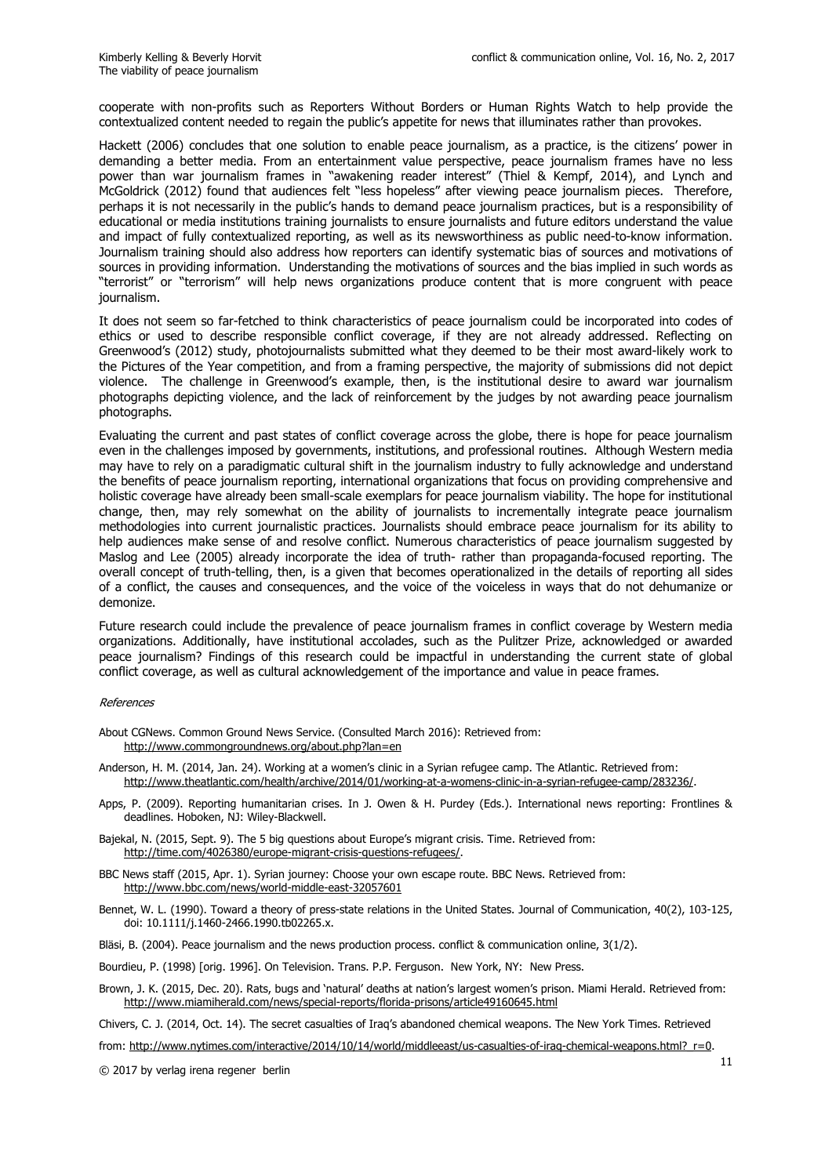cooperate with non-profits such as Reporters Without Borders or Human Rights Watch to help provide the contextualized content needed to regain the public's appetite for news that illuminates rather than provokes.

Hackett (2006) concludes that one solution to enable peace journalism, as a practice, is the citizens' power in demanding a better media. From an entertainment value perspective, peace journalism frames have no less power than war journalism frames in "awakening reader interest" (Thiel & Kempf, 2014), and Lynch and McGoldrick (2012) found that audiences felt "less hopeless" after viewing peace journalism pieces. Therefore, perhaps it is not necessarily in the public's hands to demand peace journalism practices, but is a responsibility of educational or media institutions training journalists to ensure journalists and future editors understand the value and impact of fully contextualized reporting, as well as its newsworthiness as public need-to-know information. Journalism training should also address how reporters can identify systematic bias of sources and motivations of sources in providing information. Understanding the motivations of sources and the bias implied in such words as "terrorist" or "terrorism" will help news organizations produce content that is more congruent with peace journalism.

It does not seem so far-fetched to think characteristics of peace journalism could be incorporated into codes of ethics or used to describe responsible conflict coverage, if they are not already addressed. Reflecting on Greenwood's (2012) study, photojournalists submitted what they deemed to be their most award-likely work to the Pictures of the Year competition, and from a framing perspective, the majority of submissions did not depict violence. The challenge in Greenwood's example, then, is the institutional desire to award war journalism photographs depicting violence, and the lack of reinforcement by the judges by not awarding peace journalism photographs.

Evaluating the current and past states of conflict coverage across the globe, there is hope for peace journalism even in the challenges imposed by governments, institutions, and professional routines. Although Western media may have to rely on a paradigmatic cultural shift in the journalism industry to fully acknowledge and understand the benefits of peace journalism reporting, international organizations that focus on providing comprehensive and holistic coverage have already been small-scale exemplars for peace journalism viability. The hope for institutional change, then, may rely somewhat on the ability of journalists to incrementally integrate peace journalism methodologies into current journalistic practices. Journalists should embrace peace journalism for its ability to help audiences make sense of and resolve conflict. Numerous characteristics of peace journalism suggested by Maslog and Lee (2005) already incorporate the idea of truth- rather than propaganda-focused reporting. The overall concept of truth-telling, then, is a given that becomes operationalized in the details of reporting all sides of a conflict, the causes and consequences, and the voice of the voiceless in ways that do not dehumanize or demonize.

Future research could include the prevalence of peace journalism frames in conflict coverage by Western media organizations. Additionally, have institutional accolades, such as the Pulitzer Prize, acknowledged or awarded peace journalism? Findings of this research could be impactful in understanding the current state of global conflict coverage, as well as cultural acknowledgement of the importance and value in peace frames.

#### References

- About CGNews. Common Ground News Service. (Consulted March 2016): Retrieved from: http://www.commongroundnews.org/about.php?lan=en
- Anderson, H. M. (2014, Jan. 24). Working at a women's clinic in a Syrian refugee camp. The Atlantic. Retrieved from: http://www.theatlantic.com/health/archive/2014/01/working-at-a-womens-clinic-in-a-syrian-refugee-camp/283236/.
- Apps, P. (2009). Reporting humanitarian crises. In J. Owen & H. Purdey (Eds.). International news reporting: Frontlines & deadlines. Hoboken, NJ: Wiley-Blackwell.
- Bajekal, N. (2015, Sept. 9). The 5 big questions about Europe's migrant crisis. Time. Retrieved from: http://time.com/4026380/europe-migrant-crisis-questions-refugees/.
- BBC News staff (2015, Apr. 1). Syrian journey: Choose your own escape route. BBC News. Retrieved from: http://www.bbc.com/news/world-middle-east-32057601
- Bennet, W. L. (1990). Toward a theory of press-state relations in the United States. Journal of Communication, 40(2), 103-125, doi: 10.1111/j.1460-2466.1990.tb02265.x.
- Bläsi, B. (2004). Peace journalism and the news production process. conflict & communication online, 3(1/2).
- Bourdieu, P. (1998) [orig. 1996]. On Television. Trans. P.P. Ferguson. New York, NY: New Press.
- Brown, J. K. (2015, Dec. 20). Rats, bugs and 'natural' deaths at nation's largest women's prison. Miami Herald. Retrieved from: http://www.miamiherald.com/news/special-reports/florida-prisons/article49160645.html
- Chivers, C. J. (2014, Oct. 14). The secret casualties of Iraq's abandoned chemical weapons. The New York Times. Retrieved
- from: http://www.nytimes.com/interactive/2014/10/14/world/middleeast/us-casualties-of-iraq-chemical-weapons.html?\_r=0.

 $\odot$  2017 by verlag irena regener berlin  $11$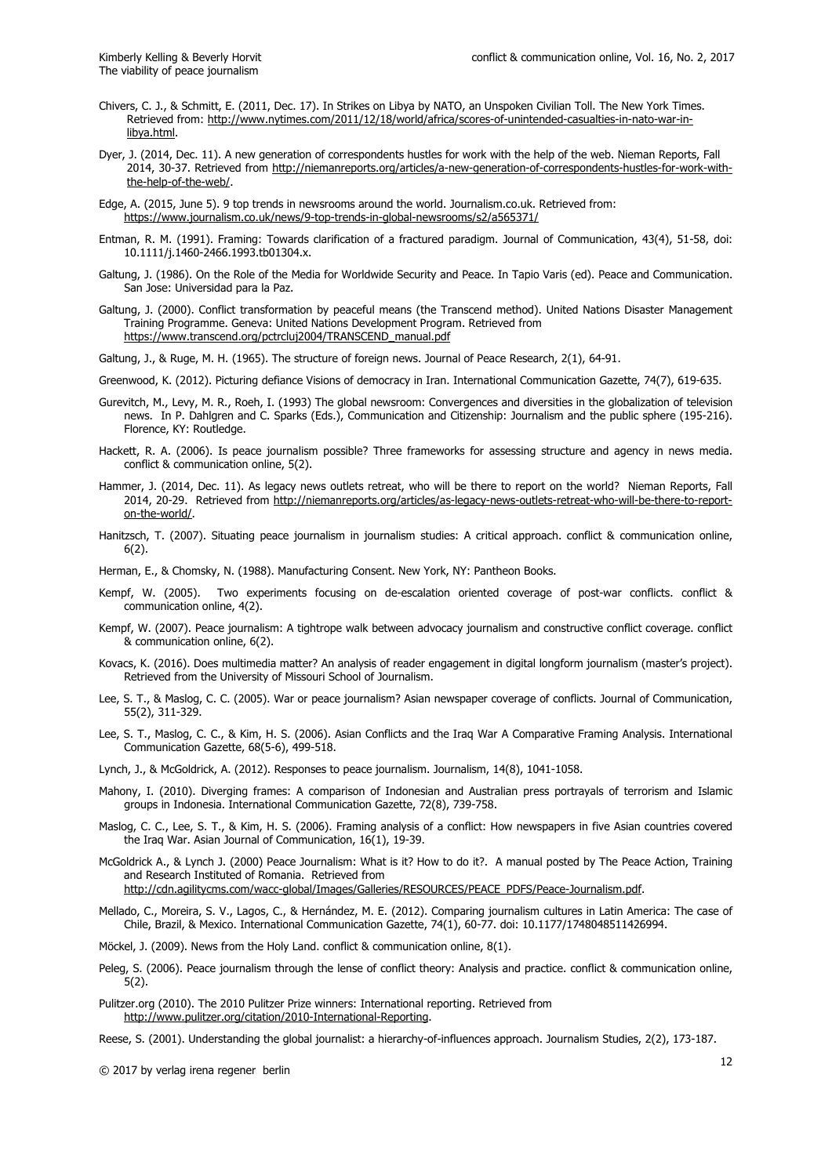- Chivers, C. J., & Schmitt, E. (2011, Dec. 17). In Strikes on Libya by NATO, an Unspoken Civilian Toll. The New York Times. Retrieved from: http://www.nytimes.com/2011/12/18/world/africa/scores-of-unintended-casualties-in-nato-war-inlibya.html.
- Dyer, J. (2014, Dec. 11). A new generation of correspondents hustles for work with the help of the web. Nieman Reports, Fall 2014, 30-37. Retrieved from http://niemanreports.org/articles/a-new-generation-of-correspondents-hustles-for-work-withthe-help-of-the-web/.
- Edge, A. (2015, June 5). 9 top trends in newsrooms around the world. Journalism.co.uk. Retrieved from: https://www.journalism.co.uk/news/9-top-trends-in-global-newsrooms/s2/a565371/
- Entman, R. M. (1991). Framing: Towards clarification of a fractured paradigm. Journal of Communication, 43(4), 51-58, doi: 10.1111/j.1460-2466.1993.tb01304.x.
- Galtung, J. (1986). On the Role of the Media for Worldwide Security and Peace. In Tapio Varis (ed). Peace and Communication. San Jose: Universidad para la Paz.
- Galtung, J. (2000). Conflict transformation by peaceful means (the Transcend method). United Nations Disaster Management Training Programme. Geneva: United Nations Development Program. Retrieved from https://www.transcend.org/pctrcluj2004/TRANSCEND\_manual.pdf
- Galtung, J., & Ruge, M. H. (1965). The structure of foreign news. Journal of Peace Research, 2(1), 64-91.
- Greenwood, K. (2012). Picturing defiance Visions of democracy in Iran. International Communication Gazette, 74(7), 619-635.
- Gurevitch, M., Levy, M. R., Roeh, I. (1993) The global newsroom: Convergences and diversities in the globalization of television news. In P. Dahlgren and C. Sparks (Eds.), Communication and Citizenship: Journalism and the public sphere (195-216). Florence, KY: Routledge.
- Hackett, R. A. (2006). Is peace journalism possible? Three frameworks for assessing structure and agency in news media. conflict & communication online, 5(2).
- Hammer, J. (2014, Dec. 11). As legacy news outlets retreat, who will be there to report on the world? Nieman Reports, Fall 2014, 20-29. Retrieved from http://niemanreports.org/articles/as-legacy-news-outlets-retreat-who-will-be-there-to-reporton-the-world/.
- Hanitzsch, T. (2007). Situating peace journalism in journalism studies: A critical approach. conflict & communication online, 6(2).
- Herman, E., & Chomsky, N. (1988). Manufacturing Consent. New York, NY: Pantheon Books.
- Kempf, W. (2005). Two experiments focusing on de-escalation oriented coverage of post-war conflicts. conflict & communication online, 4(2).
- Kempf, W. (2007). Peace journalism: A tightrope walk between advocacy journalism and constructive conflict coverage. conflict & communication online, 6(2).
- Kovacs, K. (2016). Does multimedia matter? An analysis of reader engagement in digital longform journalism (master's project). Retrieved from the University of Missouri School of Journalism.
- Lee, S. T., & Maslog, C. C. (2005). War or peace journalism? Asian newspaper coverage of conflicts. Journal of Communication, 55(2), 311-329.
- Lee, S. T., Maslog, C. C., & Kim, H. S. (2006). Asian Conflicts and the Iraq War A Comparative Framing Analysis. International Communication Gazette, 68(5-6), 499-518.
- Lynch, J., & McGoldrick, A. (2012). Responses to peace journalism. Journalism, 14(8), 1041-1058.
- Mahony, I. (2010). Diverging frames: A comparison of Indonesian and Australian press portrayals of terrorism and Islamic groups in Indonesia. International Communication Gazette, 72(8), 739-758.
- Maslog, C. C., Lee, S. T., & Kim, H. S. (2006). Framing analysis of a conflict: How newspapers in five Asian countries covered the Iraq War. Asian Journal of Communication, 16(1), 19-39.
- McGoldrick A., & Lynch J. (2000) Peace Journalism: What is it? How to do it?. A manual posted by The Peace Action, Training and Research Instituted of Romania. Retrieved from
	- http://cdn.agilitycms.com/wacc-global/Images/Galleries/RESOURCES/PEACE\_PDFS/Peace-Journalism.pdf.
- Mellado, C., Moreira, S. V., Lagos, C., & Hernández, M. E. (2012). Comparing journalism cultures in Latin America: The case of Chile, Brazil, & Mexico. International Communication Gazette, 74(1), 60-77. doi: 10.1177/1748048511426994.
- Möckel, J. (2009). News from the Holy Land. conflict & communication online, 8(1).
- Peleg, S. (2006). Peace journalism through the lense of conflict theory: Analysis and practice. conflict & communication online, 5(2).
- Pulitzer.org (2010). The 2010 Pulitzer Prize winners: International reporting. Retrieved from http://www.pulitzer.org/citation/2010-International-Reporting.
- Reese, S. (2001). Understanding the global journalist: a hierarchy-of-influences approach. Journalism Studies, 2(2), 173-187.

© 2017 by verlag irena regener berlin <sup>12</sup>